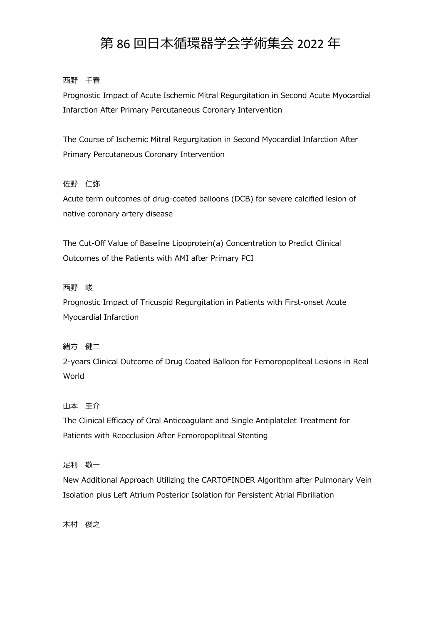# 第 86 回日本循環器学会学術集会 2022 年

## ⻄野 千春

Prognostic Impact of Acute Ischemic Mitral Regurgitation in Second Acute Myocardial Infarction After Primary Percutaneous Coronary Intervention

The Course of Ischemic Mitral Regurgitation in Second Myocardial Infarction After Primary Percutaneous Coronary Intervention

### 佐野 仁弥

Acute term outcomes of drug-coated balloons (DCB) for severe calcified lesion of native coronary artery disease

The Cut-Off Value of Baseline Lipoprotein(a) Concentration to Predict Clinical Outcomes of the Patients with AMI after Primary PCI

### ⻄野 峻

Prognostic Impact of Tricuspid Regurgitation in Patients with First-onset Acute Myocardial Infarction

### 緒方 健二

2-years Clinical Outcome of Drug Coated Balloon for Femoropopliteal Lesions in Real World

### 山本 圭介

The Clinical Efficacy of Oral Anticoagulant and Single Antiplatelet Treatment for Patients with Reocclusion After Femoropopliteal Stenting

### 足利 敬一

New Additional Approach Utilizing the CARTOFINDER Algorithm after Pulmonary Vein Isolation plus Left Atrium Posterior Isolation for Persistent Atrial Fibrillation

木村 俊之